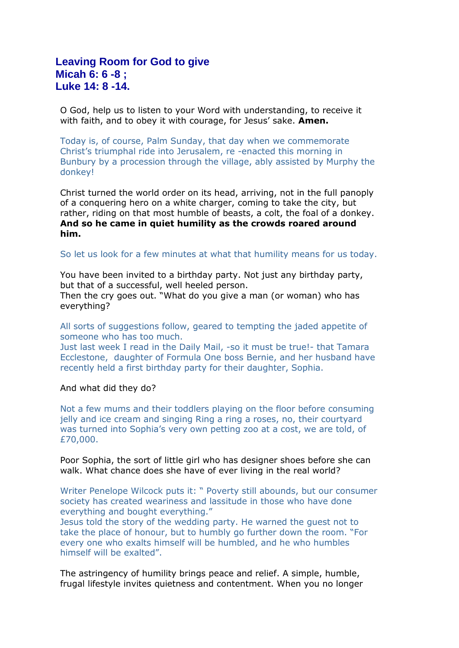## **Leaving Room for God to give Micah 6: 6 -8 ; Luke 14: 8 -14.**

O God, help us to listen to your Word with understanding, to receive it with faith, and to obey it with courage, for Jesus' sake. **Amen.**

Today is, of course, Palm Sunday, that day when we commemorate Christ's triumphal ride into Jerusalem, re -enacted this morning in Bunbury by a procession through the village, ably assisted by Murphy the donkey!

Christ turned the world order on its head, arriving, not in the full panoply of a conquering hero on a white charger, coming to take the city, but rather, riding on that most humble of beasts, a colt, the foal of a donkey. **And so he came in quiet humility as the crowds roared around him.**

So let us look for a few minutes at what that humility means for us today.

You have been invited to a birthday party. Not just any birthday party, but that of a successful, well heeled person.

Then the cry goes out. "What do you give a man (or woman) who has everything?

All sorts of suggestions follow, geared to tempting the jaded appetite of someone who has too much.

Just last week I read in the Daily Mail, -so it must be true!- that Tamara Ecclestone, daughter of Formula One boss Bernie, and her husband have recently held a first birthday party for their daughter, Sophia.

## And what did they do?

Not a few mums and their toddlers playing on the floor before consuming jelly and ice cream and singing Ring a ring a roses, no, their courtyard was turned into Sophia's very own petting zoo at a cost, we are told, of £70,000.

Poor Sophia, the sort of little girl who has designer shoes before she can walk. What chance does she have of ever living in the real world?

Writer Penelope Wilcock puts it: " Poverty still abounds, but our consumer society has created weariness and lassitude in those who have done everything and bought everything."

Jesus told the story of the wedding party. He warned the guest not to take the place of honour, but to humbly go further down the room. "For every one who exalts himself will be humbled, and he who humbles himself will be exalted".

The astringency of humility brings peace and relief. A simple, humble, frugal lifestyle invites quietness and contentment. When you no longer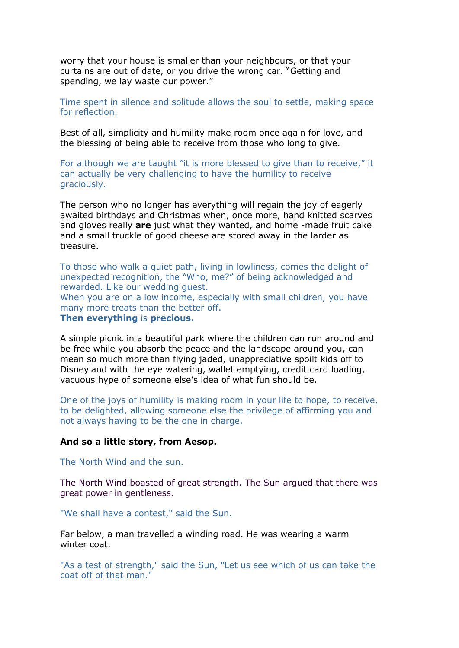worry that your house is smaller than your neighbours, or that your curtains are out of date, or you drive the wrong car. "Getting and spending, we lay waste our power."

Time spent in silence and solitude allows the soul to settle, making space for reflection.

Best of all, simplicity and humility make room once again for love, and the blessing of being able to receive from those who long to give.

For although we are taught "it is more blessed to give than to receive," it can actually be very challenging to have the humility to receive graciously.

The person who no longer has everything will regain the joy of eagerly awaited birthdays and Christmas when, once more, hand knitted scarves and gloves really **are** just what they wanted, and home -made fruit cake and a small truckle of good cheese are stored away in the larder as treasure.

To those who walk a quiet path, living in lowliness, comes the delight of unexpected recognition, the "Who, me?" of being acknowledged and rewarded. Like our wedding guest.

When you are on a low income, especially with small children, you have many more treats than the better off.

**Then everything** is **precious.**

A simple picnic in a beautiful park where the children can run around and be free while you absorb the peace and the landscape around you, can mean so much more than flying jaded, unappreciative spoilt kids off to Disneyland with the eye watering, wallet emptying, credit card loading, vacuous hype of someone else's idea of what fun should be.

One of the joys of humility is making room in your life to hope, to receive, to be delighted, allowing someone else the privilege of affirming you and not always having to be the one in charge.

## **And so a little story, from Aesop.**

The North Wind and the sun.

The North Wind boasted of great strength. The Sun argued that there was great power in gentleness.

"We shall have a contest," said the Sun.

Far below, a man travelled a winding road. He was wearing a warm winter coat.

"As a test of strength," said the Sun, "Let us see which of us can take the coat off of that man."